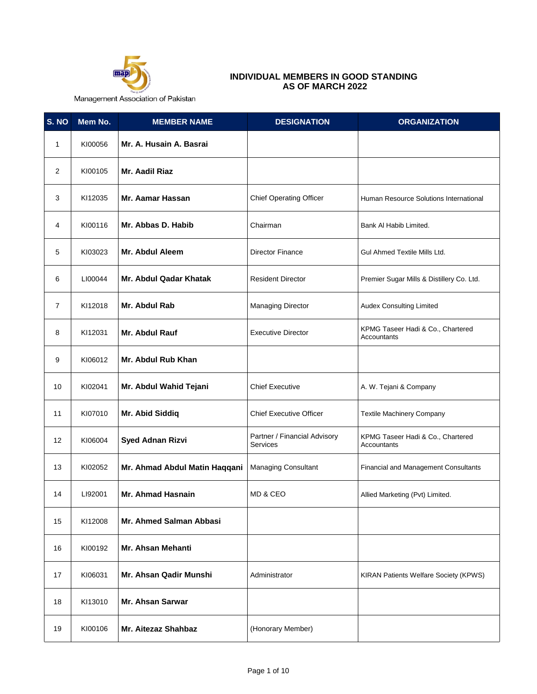

## **INDIVIDUAL MEMBERS IN GOOD STANDING AS OF MARCH 2022**

Management Association of Pakistan

| S. NO          | Mem No. | <b>MEMBER NAME</b>            | <b>DESIGNATION</b>                              | <b>ORGANIZATION</b>                              |
|----------------|---------|-------------------------------|-------------------------------------------------|--------------------------------------------------|
| 1              | KI00056 | Mr. A. Husain A. Basrai       |                                                 |                                                  |
| $\overline{2}$ | KI00105 | Mr. Aadil Riaz                |                                                 |                                                  |
| 3              | KI12035 | <b>Mr. Aamar Hassan</b>       | <b>Chief Operating Officer</b>                  | Human Resource Solutions International           |
| 4              | KI00116 | Mr. Abbas D. Habib            | Chairman                                        | Bank Al Habib Limited.                           |
| 5              | KI03023 | <b>Mr. Abdul Aleem</b>        | <b>Director Finance</b>                         | Gul Ahmed Textile Mills Ltd.                     |
| 6              | LI00044 | Mr. Abdul Qadar Khatak        | <b>Resident Director</b>                        | Premier Sugar Mills & Distillery Co. Ltd.        |
| $\overline{7}$ | KI12018 | Mr. Abdul Rab                 | <b>Managing Director</b>                        | <b>Audex Consulting Limited</b>                  |
| 8              | KI12031 | Mr. Abdul Rauf                | <b>Executive Director</b>                       | KPMG Taseer Hadi & Co., Chartered<br>Accountants |
| 9              | KI06012 | Mr. Abdul Rub Khan            |                                                 |                                                  |
| 10             | KI02041 | Mr. Abdul Wahid Tejani        | <b>Chief Executive</b>                          | A. W. Tejani & Company                           |
| 11             | KI07010 | Mr. Abid Siddiq               | <b>Chief Executive Officer</b>                  | <b>Textile Machinery Company</b>                 |
| 12             | KI06004 | <b>Syed Adnan Rizvi</b>       | Partner / Financial Advisory<br><b>Services</b> | KPMG Taseer Hadi & Co., Chartered<br>Accountants |
| 13             | KI02052 | Mr. Ahmad Abdul Matin Haqqani | Managing Consultant                             | <b>Financial and Management Consultants</b>      |
| 14             | LI92001 | Mr. Ahmad Hasnain             | MD & CEO                                        | Allied Marketing (Pvt) Limited.                  |
| 15             | KI12008 | Mr. Ahmed Salman Abbasi       |                                                 |                                                  |
| 16             | KI00192 | Mr. Ahsan Mehanti             |                                                 |                                                  |
| 17             | KI06031 | Mr. Ahsan Qadir Munshi        | Administrator                                   | KIRAN Patients Welfare Society (KPWS)            |
| 18             | KI13010 | Mr. Ahsan Sarwar              |                                                 |                                                  |
| 19             | KI00106 | Mr. Aitezaz Shahbaz           | (Honorary Member)                               |                                                  |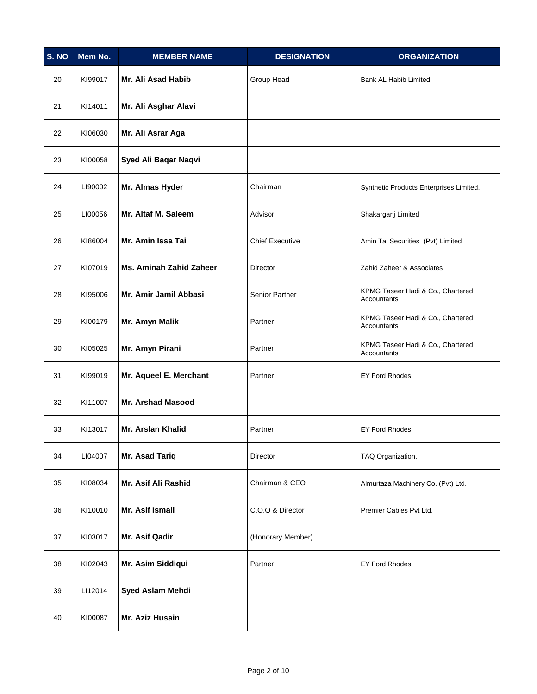| S. NO | Mem No. | <b>MEMBER NAME</b>             | <b>DESIGNATION</b>     | <b>ORGANIZATION</b>                              |
|-------|---------|--------------------------------|------------------------|--------------------------------------------------|
| 20    | KI99017 | Mr. Ali Asad Habib             | Group Head             | Bank AL Habib Limited.                           |
| 21    | KI14011 | Mr. Ali Asghar Alavi           |                        |                                                  |
| 22    | KI06030 | Mr. Ali Asrar Aga              |                        |                                                  |
| 23    | KI00058 | Syed Ali Baqar Naqvi           |                        |                                                  |
| 24    | LI90002 | Mr. Almas Hyder                | Chairman               | Synthetic Products Enterprises Limited.          |
| 25    | LI00056 | Mr. Altaf M. Saleem            | Advisor                | Shakarganj Limited                               |
| 26    | KI86004 | Mr. Amin Issa Tai              | <b>Chief Executive</b> | Amin Tai Securities (Pvt) Limited                |
| 27    | KI07019 | <b>Ms. Aminah Zahid Zaheer</b> | Director               | Zahid Zaheer & Associates                        |
| 28    | KI95006 | Mr. Amir Jamil Abbasi          | Senior Partner         | KPMG Taseer Hadi & Co., Chartered<br>Accountants |
| 29    | KI00179 | Mr. Amyn Malik                 | Partner                | KPMG Taseer Hadi & Co., Chartered<br>Accountants |
| 30    | KI05025 | Mr. Amyn Pirani                | Partner                | KPMG Taseer Hadi & Co., Chartered<br>Accountants |
| 31    | KI99019 | Mr. Aqueel E. Merchant         | Partner                | <b>EY Ford Rhodes</b>                            |
| 32    | KI11007 | <b>Mr. Arshad Masood</b>       |                        |                                                  |
| 33    | KI13017 | <b>Mr. Arslan Khalid</b>       | Partner                | <b>EY Ford Rhodes</b>                            |
| 34    | LI04007 | Mr. Asad Tariq                 | Director               | TAQ Organization.                                |
| 35    | KI08034 | Mr. Asif Ali Rashid            | Chairman & CEO         | Almurtaza Machinery Co. (Pvt) Ltd.               |
| 36    | KI10010 | Mr. Asif Ismail                | C.O.O & Director       | Premier Cables Pvt Ltd.                          |
| 37    | KI03017 | Mr. Asif Qadir                 | (Honorary Member)      |                                                  |
| 38    | KI02043 | Mr. Asim Siddiqui              | Partner                | <b>EY Ford Rhodes</b>                            |
| 39    | LI12014 | Syed Aslam Mehdi               |                        |                                                  |
| 40    | KI00087 | Mr. Aziz Husain                |                        |                                                  |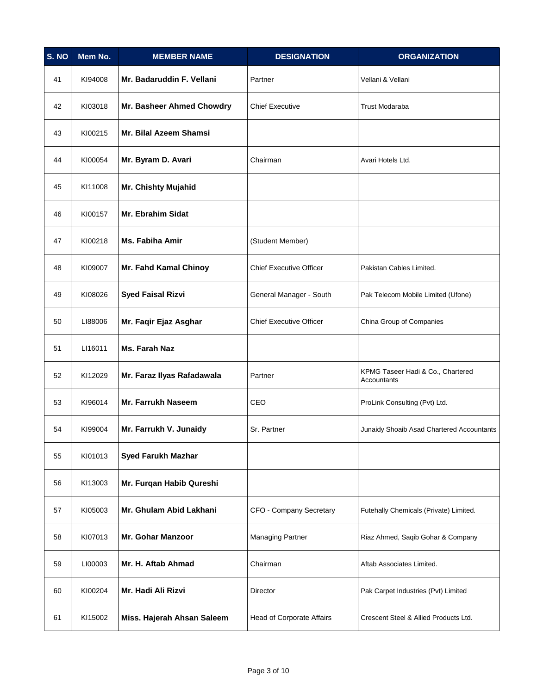| S. NO | Mem No. | <b>MEMBER NAME</b>         | <b>DESIGNATION</b>             | <b>ORGANIZATION</b>                              |
|-------|---------|----------------------------|--------------------------------|--------------------------------------------------|
| 41    | KI94008 | Mr. Badaruddin F. Vellani  | Partner                        | Vellani & Vellani                                |
| 42    | KI03018 | Mr. Basheer Ahmed Chowdry  | <b>Chief Executive</b>         | <b>Trust Modaraba</b>                            |
| 43    | KI00215 | Mr. Bilal Azeem Shamsi     |                                |                                                  |
| 44    | KI00054 | Mr. Byram D. Avari         | Chairman                       | Avari Hotels Ltd.                                |
| 45    | KI11008 | <b>Mr. Chishty Mujahid</b> |                                |                                                  |
| 46    | KI00157 | Mr. Ebrahim Sidat          |                                |                                                  |
| 47    | KI00218 | Ms. Fabiha Amir            | (Student Member)               |                                                  |
| 48    | KI09007 | Mr. Fahd Kamal Chinoy      | <b>Chief Executive Officer</b> | Pakistan Cables Limited.                         |
| 49    | KI08026 | <b>Syed Faisal Rizvi</b>   | General Manager - South        | Pak Telecom Mobile Limited (Ufone)               |
| 50    | LI88006 | Mr. Faqir Ejaz Asghar      | <b>Chief Executive Officer</b> | China Group of Companies                         |
| 51    | LI16011 | <b>Ms. Farah Naz</b>       |                                |                                                  |
| 52    | KI12029 | Mr. Faraz Ilyas Rafadawala | Partner                        | KPMG Taseer Hadi & Co., Chartered<br>Accountants |
| 53    | KI96014 | Mr. Farrukh Naseem         | CEO                            | ProLink Consulting (Pvt) Ltd.                    |
| 54    | KI99004 | Mr. Farrukh V. Junaidy     | Sr. Partner                    | Junaidy Shoaib Asad Chartered Accountants        |
| 55    | KI01013 | <b>Syed Farukh Mazhar</b>  |                                |                                                  |
| 56    | KI13003 | Mr. Furqan Habib Qureshi   |                                |                                                  |
| 57    | KI05003 | Mr. Ghulam Abid Lakhani    | CFO - Company Secretary        | Futehally Chemicals (Private) Limited.           |
| 58    | KI07013 | <b>Mr. Gohar Manzoor</b>   | <b>Managing Partner</b>        | Riaz Ahmed, Saqib Gohar & Company                |
| 59    | LI00003 | Mr. H. Aftab Ahmad         | Chairman                       | Aftab Associates Limited.                        |
| 60    | KI00204 | Mr. Hadi Ali Rizvi         | Director                       | Pak Carpet Industries (Pvt) Limited              |
| 61    | KI15002 | Miss. Hajerah Ahsan Saleem | Head of Corporate Affairs      | Crescent Steel & Allied Products Ltd.            |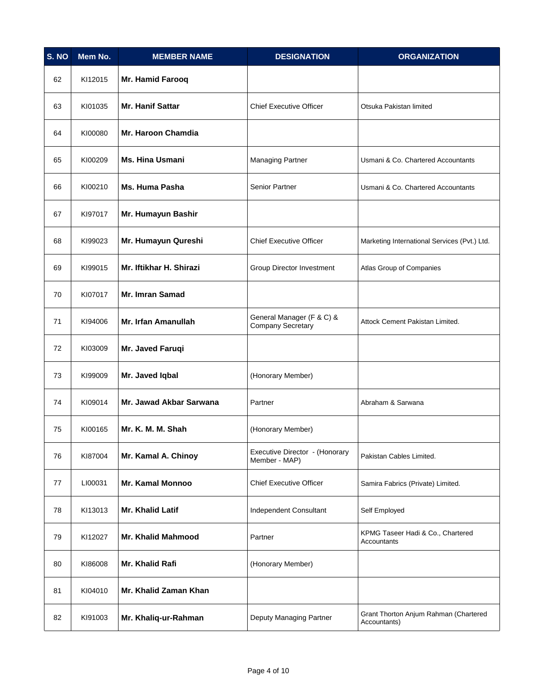| S. NO | Mem No. | <b>MEMBER NAME</b>         | <b>DESIGNATION</b>                                    | <b>ORGANIZATION</b>                                   |
|-------|---------|----------------------------|-------------------------------------------------------|-------------------------------------------------------|
| 62    | KI12015 | Mr. Hamid Farooq           |                                                       |                                                       |
| 63    | KI01035 | Mr. Hanif Sattar           | <b>Chief Executive Officer</b>                        | Otsuka Pakistan limited                               |
| 64    | KI00080 | <b>Mr. Haroon Chamdia</b>  |                                                       |                                                       |
| 65    | KI00209 | <b>Ms. Hina Usmani</b>     | <b>Managing Partner</b>                               | Usmani & Co. Chartered Accountants                    |
| 66    | KI00210 | <b>Ms. Huma Pasha</b>      | Senior Partner                                        | Usmani & Co. Chartered Accountants                    |
| 67    | KI97017 | Mr. Humayun Bashir         |                                                       |                                                       |
| 68    | KI99023 | Mr. Humayun Qureshi        | <b>Chief Executive Officer</b>                        | Marketing International Services (Pvt.) Ltd.          |
| 69    | KI99015 | Mr. Iftikhar H. Shirazi    | Group Director Investment                             | Atlas Group of Companies                              |
| 70    | KI07017 | <b>Mr. Imran Samad</b>     |                                                       |                                                       |
| 71    | KI94006 | <b>Mr. Irfan Amanullah</b> | General Manager (F & C) &<br><b>Company Secretary</b> | Attock Cement Pakistan Limited.                       |
| 72    | KI03009 | Mr. Javed Faruqi           |                                                       |                                                       |
| 73    | KI99009 | Mr. Javed Iqbal            | (Honorary Member)                                     |                                                       |
| 74    | KI09014 | Mr. Jawad Akbar Sarwana    | Partner                                               | Abraham & Sarwana                                     |
| 75    | KI00165 | Mr. K. M. M. Shah          | (Honorary Member)                                     |                                                       |
| 76    | KI87004 | Mr. Kamal A. Chinoy        | Executive Director - (Honorary<br>Member - MAP)       | Pakistan Cables Limited.                              |
| 77    | LI00031 | <b>Mr. Kamal Monnoo</b>    | <b>Chief Executive Officer</b>                        | Samira Fabrics (Private) Limited.                     |
| 78    | KI13013 | Mr. Khalid Latif           | Independent Consultant                                | Self Employed                                         |
| 79    | KI12027 | <b>Mr. Khalid Mahmood</b>  | Partner                                               | KPMG Taseer Hadi & Co., Chartered<br>Accountants      |
| 80    | KI86008 | Mr. Khalid Rafi            | (Honorary Member)                                     |                                                       |
| 81    | KI04010 | Mr. Khalid Zaman Khan      |                                                       |                                                       |
| 82    | KI91003 | Mr. Khaliq-ur-Rahman       | Deputy Managing Partner                               | Grant Thorton Anjum Rahman (Chartered<br>Accountants) |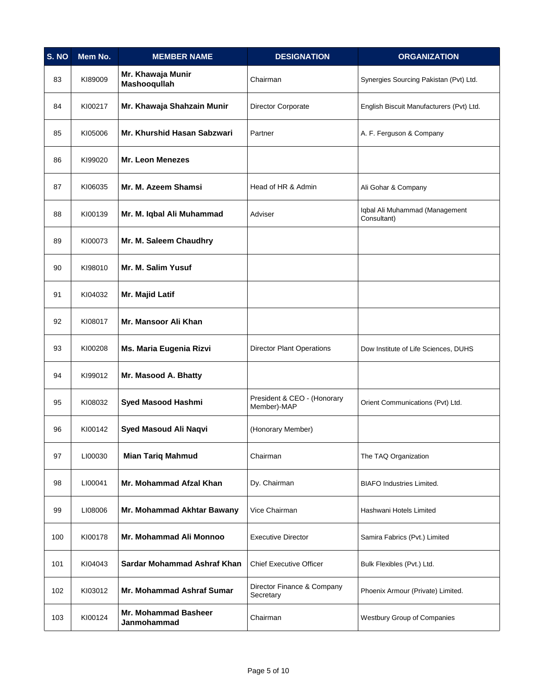| S. NO | Mem No. | <b>MEMBER NAME</b>                         | <b>DESIGNATION</b>                         | <b>ORGANIZATION</b>                           |
|-------|---------|--------------------------------------------|--------------------------------------------|-----------------------------------------------|
| 83    | KI89009 | Mr. Khawaja Munir<br>Mashooqullah          | Chairman                                   | Synergies Sourcing Pakistan (Pvt) Ltd.        |
| 84    | KI00217 | Mr. Khawaja Shahzain Munir                 | <b>Director Corporate</b>                  | English Biscuit Manufacturers (Pvt) Ltd.      |
| 85    | KI05006 | Mr. Khurshid Hasan Sabzwari                | Partner                                    | A. F. Ferguson & Company                      |
| 86    | KI99020 | <b>Mr. Leon Menezes</b>                    |                                            |                                               |
| 87    | KI06035 | Mr. M. Azeem Shamsi                        | Head of HR & Admin                         | Ali Gohar & Company                           |
| 88    | KI00139 | Mr. M. Iqbal Ali Muhammad                  | Adviser                                    | Iqbal Ali Muhammad (Management<br>Consultant) |
| 89    | KI00073 | Mr. M. Saleem Chaudhry                     |                                            |                                               |
| 90    | KI98010 | Mr. M. Salim Yusuf                         |                                            |                                               |
| 91    | KI04032 | Mr. Majid Latif                            |                                            |                                               |
| 92    | KI08017 | Mr. Mansoor Ali Khan                       |                                            |                                               |
| 93    | KI00208 | Ms. Maria Eugenia Rizvi                    | <b>Director Plant Operations</b>           | Dow Institute of Life Sciences, DUHS          |
| 94    | KI99012 | Mr. Masood A. Bhatty                       |                                            |                                               |
| 95    | KI08032 | Syed Masood Hashmi                         | President & CEO - (Honorary<br>Member)-MAP | Orient Communications (Pvt) Ltd.              |
| 96    | KI00142 | Syed Masoud Ali Naqvi                      | (Honorary Member)                          |                                               |
| 97    | LI00030 | <b>Mian Tariq Mahmud</b>                   | Chairman                                   | The TAQ Organization                          |
| 98    | LI00041 | Mr. Mohammad Afzal Khan                    | Dy. Chairman                               | <b>BIAFO</b> Industries Limited.              |
| 99    | LI08006 | Mr. Mohammad Akhtar Bawany                 | Vice Chairman                              | Hashwani Hotels Limited                       |
| 100   | KI00178 | <b>Mr. Mohammad Ali Monnoo</b>             | <b>Executive Director</b>                  | Samira Fabrics (Pvt.) Limited                 |
| 101   | KI04043 | Sardar Mohammad Ashraf Khan                | <b>Chief Executive Officer</b>             | Bulk Flexibles (Pvt.) Ltd.                    |
| 102   | KI03012 | Mr. Mohammad Ashraf Sumar                  | Director Finance & Company<br>Secretary    | Phoenix Armour (Private) Limited.             |
| 103   | KI00124 | <b>Mr. Mohammad Basheer</b><br>Janmohammad | Chairman                                   | <b>Westbury Group of Companies</b>            |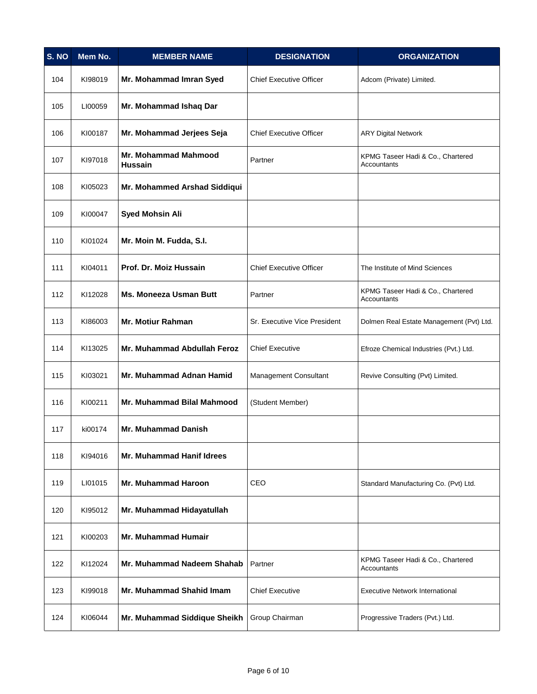| S. NO | Mem No. | <b>MEMBER NAME</b>                     | <b>DESIGNATION</b>             | <b>ORGANIZATION</b>                              |
|-------|---------|----------------------------------------|--------------------------------|--------------------------------------------------|
| 104   | KI98019 | Mr. Mohammad Imran Syed                | <b>Chief Executive Officer</b> | Adcom (Private) Limited.                         |
| 105   | LI00059 | Mr. Mohammad Ishaq Dar                 |                                |                                                  |
| 106   | KI00187 | Mr. Mohammad Jerjees Seja              | <b>Chief Executive Officer</b> | <b>ARY Digital Network</b>                       |
| 107   | KI97018 | Mr. Mohammad Mahmood<br><b>Hussain</b> | Partner                        | KPMG Taseer Hadi & Co., Chartered<br>Accountants |
| 108   | KI05023 | Mr. Mohammed Arshad Siddiqui           |                                |                                                  |
| 109   | KI00047 | <b>Syed Mohsin Ali</b>                 |                                |                                                  |
| 110   | KI01024 | Mr. Moin M. Fudda, S.I.                |                                |                                                  |
| 111   | KI04011 | Prof. Dr. Moiz Hussain                 | <b>Chief Executive Officer</b> | The Institute of Mind Sciences                   |
| 112   | KI12028 | <b>Ms. Moneeza Usman Butt</b>          | Partner                        | KPMG Taseer Hadi & Co., Chartered<br>Accountants |
| 113   | KI86003 | Mr. Motiur Rahman                      | Sr. Executive Vice President   | Dolmen Real Estate Management (Pvt) Ltd.         |
| 114   | KI13025 | Mr. Muhammad Abdullah Feroz            | <b>Chief Executive</b>         | Efroze Chemical Industries (Pvt.) Ltd.           |
| 115   | KI03021 | Mr. Muhammad Adnan Hamid               | Management Consultant          | Revive Consulting (Pvt) Limited.                 |
| 116   | KI00211 | Mr. Muhammad Bilal Mahmood             | (Student Member)               |                                                  |
| 117   | ki00174 | <b>Mr. Muhammad Danish</b>             |                                |                                                  |
| 118   | KI94016 | Mr. Muhammad Hanif Idrees              |                                |                                                  |
| 119   | LI01015 | <b>Mr. Muhammad Haroon</b>             | CEO                            | Standard Manufacturing Co. (Pvt) Ltd.            |
| 120   | KI95012 | Mr. Muhammad Hidayatullah              |                                |                                                  |
| 121   | KI00203 | <b>Mr. Muhammad Humair</b>             |                                |                                                  |
| 122   | KI12024 | Mr. Muhammad Nadeem Shahab             | Partner                        | KPMG Taseer Hadi & Co., Chartered<br>Accountants |
| 123   | KI99018 | Mr. Muhammad Shahid Imam               | <b>Chief Executive</b>         | <b>Executive Network International</b>           |
| 124   | KI06044 | Mr. Muhammad Siddique Sheikh           | Group Chairman                 | Progressive Traders (Pvt.) Ltd.                  |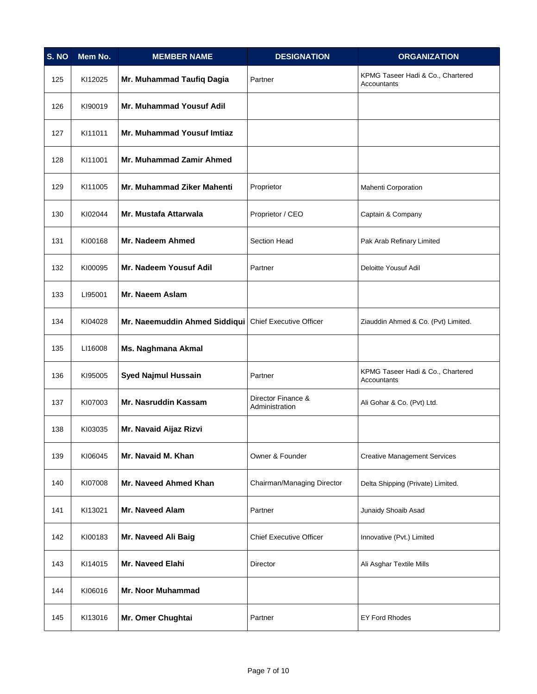| S. NO | Mem No. | <b>MEMBER NAME</b>                                      | <b>DESIGNATION</b>                   | <b>ORGANIZATION</b>                              |
|-------|---------|---------------------------------------------------------|--------------------------------------|--------------------------------------------------|
| 125   | KI12025 | Mr. Muhammad Taufiq Dagia                               | Partner                              | KPMG Taseer Hadi & Co., Chartered<br>Accountants |
| 126   | KI90019 | Mr. Muhammad Yousuf Adil                                |                                      |                                                  |
| 127   | KI11011 | <b>Mr. Muhammad Yousuf Imtiaz</b>                       |                                      |                                                  |
| 128   | KI11001 | Mr. Muhammad Zamir Ahmed                                |                                      |                                                  |
| 129   | KI11005 | Mr. Muhammad Ziker Mahenti                              | Proprietor                           | <b>Mahenti Corporation</b>                       |
| 130   | KI02044 | <b>Mr. Mustafa Attarwala</b>                            | Proprietor / CEO                     | Captain & Company                                |
| 131   | KI00168 | Mr. Nadeem Ahmed                                        | <b>Section Head</b>                  | Pak Arab Refinary Limited                        |
| 132   | KI00095 | Mr. Nadeem Yousuf Adil                                  | Partner                              | Deloitte Yousuf Adil                             |
| 133   | LI95001 | Mr. Naeem Aslam                                         |                                      |                                                  |
| 134   | KI04028 | Mr. Naeemuddin Ahmed Siddiqui   Chief Executive Officer |                                      | Ziauddin Ahmed & Co. (Pvt) Limited.              |
| 135   | LI16008 | Ms. Naghmana Akmal                                      |                                      |                                                  |
| 136   | KI95005 | <b>Syed Najmul Hussain</b>                              | Partner                              | KPMG Taseer Hadi & Co., Chartered<br>Accountants |
| 137   | KI07003 | Mr. Nasruddin Kassam                                    | Director Finance &<br>Administration | Ali Gohar & Co. (Pvt) Ltd.                       |
| 138   | KI03035 | Mr. Navaid Aijaz Rizvi                                  |                                      |                                                  |
| 139   | KI06045 | Mr. Navaid M. Khan                                      | Owner & Founder                      | <b>Creative Management Services</b>              |
| 140   | KI07008 | Mr. Naveed Ahmed Khan                                   | Chairman/Managing Director           | Delta Shipping (Private) Limited.                |
| 141   | KI13021 | <b>Mr. Naveed Alam</b>                                  | Partner                              | Junaidy Shoaib Asad                              |
| 142   | KI00183 | Mr. Naveed Ali Baig                                     | <b>Chief Executive Officer</b>       | Innovative (Pvt.) Limited                        |
| 143   | KI14015 | Mr. Naveed Elahi                                        | Director                             | Ali Asghar Textile Mills                         |
| 144   | KI06016 | <b>Mr. Noor Muhammad</b>                                |                                      |                                                  |
| 145   | KI13016 | Mr. Omer Chughtai                                       | Partner                              | <b>EY Ford Rhodes</b>                            |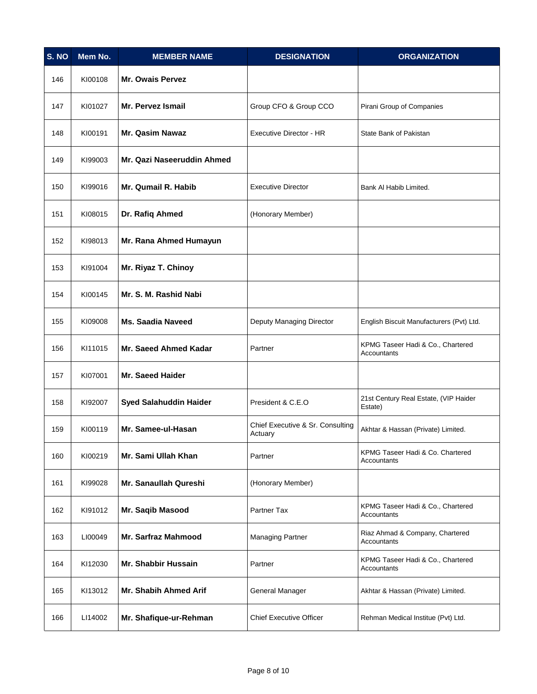| S. NO | Mem No. | <b>MEMBER NAME</b>            | <b>DESIGNATION</b>                          | <b>ORGANIZATION</b>                              |
|-------|---------|-------------------------------|---------------------------------------------|--------------------------------------------------|
| 146   | KI00108 | <b>Mr. Owais Pervez</b>       |                                             |                                                  |
| 147   | KI01027 | Mr. Pervez Ismail             | Group CFO & Group CCO                       | Pirani Group of Companies                        |
| 148   | KI00191 | <b>Mr. Qasim Nawaz</b>        | Executive Director - HR                     | State Bank of Pakistan                           |
| 149   | KI99003 | Mr. Qazi Naseeruddin Ahmed    |                                             |                                                  |
| 150   | KI99016 | Mr. Qumail R. Habib           | <b>Executive Director</b>                   | Bank Al Habib Limited.                           |
| 151   | KI08015 | Dr. Rafiq Ahmed               | (Honorary Member)                           |                                                  |
| 152   | KI98013 | Mr. Rana Ahmed Humayun        |                                             |                                                  |
| 153   | KI91004 | Mr. Riyaz T. Chinoy           |                                             |                                                  |
| 154   | KI00145 | Mr. S. M. Rashid Nabi         |                                             |                                                  |
| 155   | KI09008 | <b>Ms. Saadia Naveed</b>      | Deputy Managing Director                    | English Biscuit Manufacturers (Pvt) Ltd.         |
| 156   | KI11015 | Mr. Saeed Ahmed Kadar         | Partner                                     | KPMG Taseer Hadi & Co., Chartered<br>Accountants |
| 157   | KI07001 | <b>Mr. Saeed Haider</b>       |                                             |                                                  |
| 158   | KI92007 | <b>Syed Salahuddin Haider</b> | President & C.E.O                           | 21st Century Real Estate, (VIP Haider<br>Estate) |
| 159   | KI00119 | Mr. Samee-ul-Hasan            | Chief Executive & Sr. Consulting<br>Actuary | Akhtar & Hassan (Private) Limited.               |
| 160   | KI00219 | Mr. Sami Ullah Khan           | Partner                                     | KPMG Taseer Hadi & Co. Chartered<br>Accountants  |
| 161   | KI99028 | Mr. Sanaullah Qureshi         | (Honorary Member)                           |                                                  |
| 162   | KI91012 | Mr. Saqib Masood              | Partner Tax                                 | KPMG Taseer Hadi & Co., Chartered<br>Accountants |
| 163   | LI00049 | Mr. Sarfraz Mahmood           | <b>Managing Partner</b>                     | Riaz Ahmad & Company, Chartered<br>Accountants   |
| 164   | KI12030 | Mr. Shabbir Hussain           | Partner                                     | KPMG Taseer Hadi & Co., Chartered<br>Accountants |
| 165   | KI13012 | Mr. Shabih Ahmed Arif         | General Manager                             | Akhtar & Hassan (Private) Limited.               |
| 166   | LI14002 | Mr. Shafique-ur-Rehman        | <b>Chief Executive Officer</b>              | Rehman Medical Institue (Pvt) Ltd.               |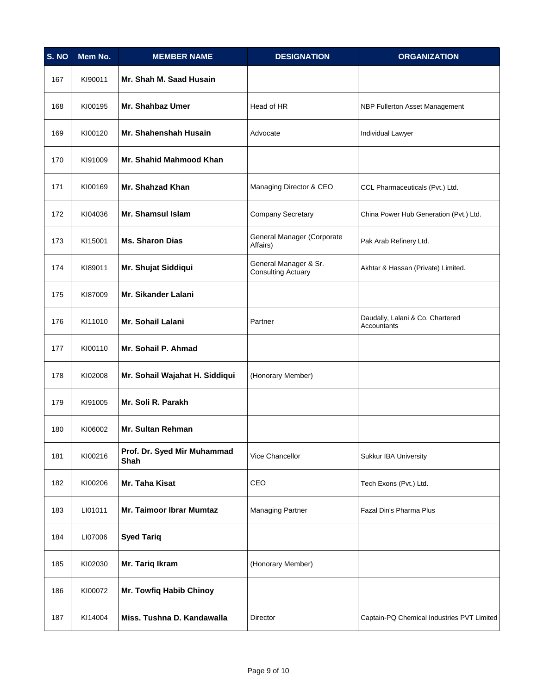| S. NO | Mem No. | <b>MEMBER NAME</b>                  | <b>DESIGNATION</b>                                 | <b>ORGANIZATION</b>                             |
|-------|---------|-------------------------------------|----------------------------------------------------|-------------------------------------------------|
| 167   | KI90011 | Mr. Shah M. Saad Husain             |                                                    |                                                 |
| 168   | KI00195 | Mr. Shahbaz Umer                    | Head of HR                                         | NBP Fullerton Asset Management                  |
| 169   | KI00120 | Mr. Shahenshah Husain               | Advocate                                           | <b>Individual Lawyer</b>                        |
| 170   | KI91009 | Mr. Shahid Mahmood Khan             |                                                    |                                                 |
| 171   | KI00169 | Mr. Shahzad Khan                    | Managing Director & CEO                            | CCL Pharmaceuticals (Pvt.) Ltd.                 |
| 172   | KI04036 | Mr. Shamsul Islam                   | <b>Company Secretary</b>                           | China Power Hub Generation (Pvt.) Ltd.          |
| 173   | KI15001 | <b>Ms. Sharon Dias</b>              | General Manager (Corporate<br>Affairs)             | Pak Arab Refinery Ltd.                          |
| 174   | KI89011 | Mr. Shujat Siddiqui                 | General Manager & Sr.<br><b>Consulting Actuary</b> | Akhtar & Hassan (Private) Limited.              |
| 175   | KI87009 | Mr. Sikander Lalani                 |                                                    |                                                 |
| 176   | KI11010 | Mr. Sohail Lalani                   | Partner                                            | Daudally, Lalani & Co. Chartered<br>Accountants |
| 177   | KI00110 | Mr. Sohail P. Ahmad                 |                                                    |                                                 |
| 178   | KI02008 | Mr. Sohail Wajahat H. Siddiqui      | (Honorary Member)                                  |                                                 |
| 179   | KI91005 | Mr. Soli R. Parakh                  |                                                    |                                                 |
| 180   | KI06002 | Mr. Sultan Rehman                   |                                                    |                                                 |
| 181   | KI00216 | Prof. Dr. Syed Mir Muhammad<br>Shah | Vice Chancellor                                    | Sukkur IBA University                           |
| 182   | KI00206 | Mr. Taha Kisat                      | CEO                                                | Tech Exons (Pvt.) Ltd.                          |
| 183   | LI01011 | <b>Mr. Taimoor Ibrar Mumtaz</b>     | <b>Managing Partner</b>                            | Fazal Din's Pharma Plus                         |
| 184   | LI07006 | <b>Syed Tariq</b>                   |                                                    |                                                 |
| 185   | KI02030 | Mr. Tariq Ikram                     | (Honorary Member)                                  |                                                 |
| 186   | KI00072 | <b>Mr. Towfiq Habib Chinoy</b>      |                                                    |                                                 |
| 187   | KI14004 | Miss. Tushna D. Kandawalla          | Director                                           | Captain-PQ Chemical Industries PVT Limited      |